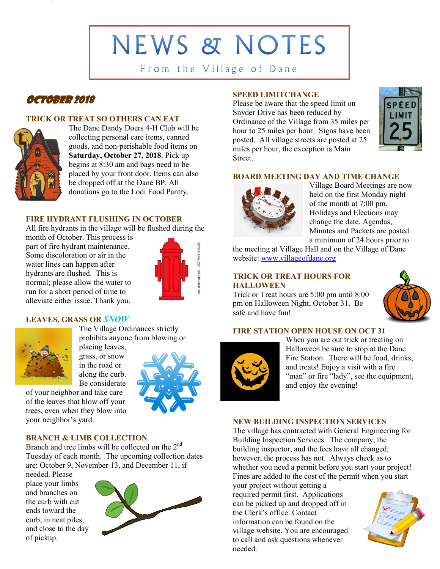**NEWS & NOTES** 

From the Village of Dane

# October 2018

# **TRICK OR TREAT SO OTHERS CAN EAT**



The Dane Dandy Doers 4-H Club will be collecting personal care items, canned goods, and non-perishable food items on **Saturday, October 27, 2018**. Pick up begins at 8:30 am and bags need to be placed by your front door. Items can also be dropped off at the Dane BP. All donations go to the Lodi Food Pantry.

# **FIRE HYDRANT FLUSHING IN OCTOBER**

All fire hydrants in the village will be flushed during the

month of October. This process is part of fire hydrant maintenance. Some discoloration or air in the water lines can happen after hydrants are flushed. This is normal; please allow the water to run for a short period of time to alleviate either issue. Thank you.



## **LEAVES, GRASS OR** *SNOW*



The Village Ordinances strictly prohibits anyone from blowing or

placing leaves, grass, or snow in the road or along the curb. Be considerate

of your neighbor and take care of the leaves that blow off your trees, even when they blow into your neighbor's yard.



# **BRANCH & LIMB COLLECTION**

Branch and tree limbs will be collected on the 2<sup>nd</sup> Tuesday of each month. The upcoming collection dates are: October 9, November 13, and December 11, if

needed. Please place your limbs and branches on the curb with cut ends toward the curb, in neat piles, and close to the day of pickup.



# **SPEED LIMITCHANGE**

Please be aware that the speed limit on Snyder Drive has been reduced by Ordinance of the Village from 35 miles per hour to 25 miles per hour. Signs have been posted. All village streets are posted at 25 miles per hour, the exception is Main Street.



## **BOARD MEETING DAY AND TIME CHANGE**



Village Board Meetings are now held on the first Monday night of the month at 7:00 pm. Holidays and Elections may change the date. Agendas, Minutes and Packets are posted a minimum of 24 hours prior to

the meeting at Village Hall and on the Village of Dane website: [www.villageofdane.org](http://www.villageofdane.org/)

# **TRICK OR TREAT HOURS FOR HALLOWEEN**

Trick or Treat hours are 5:00 pm until 8:00 pm on Halloween Night, October 31. Be safe and have fun!



#### **FIRE STATION OPEN HOUSE ON OCT 31**



When you are out trick or treating on Halloween be sure to stop at the Dane Fire Station. There will be food, drinks, and treats! Enjoy a visit with a fire "man" or fire "lady", see the equipment, and enjoy the evening!

#### **NEW BUILDING INSPECTION SERVICES**

The village has contracted with General Engineering for Building Inspection Services. The company, the building inspector, and the fees have all changed; however, the process has not. Always check as to whether you need a permit before you start your project! Fines are added to the cost of the permit when you start

your project without getting a required permit first. Applications can be picked up and dropped off in the Clerk's office. Contact information can be found on the village website. You are encouraged to call and ask questions whenever needed.